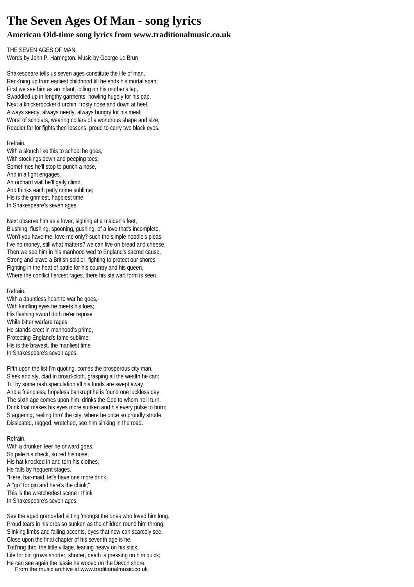# **The Seven Ages Of Man - song lyrics**

# **American Old-time song lyrics from www.traditionalmusic.co.uk**

THE SEVEN AGES OF MAN. Words by John P. Harrington. Music by George Le Brun

Shakespeare tells us seven ages constitute the life of man, Reck'ning up from earliest childhood till he ends his mortal span; First we see him as an infant, lolling on his mother's lap, Swaddled up in lengthy garments, howling hugely for his pap. Next a knickerbocker'd urchin, frosty nose and down at heel, Always seedy, always needy, always hungry for his meal; Worst of scholars, wearing collars of a wondrous shape and size, Readier far for fights then lessons, proud to carry two black eyes.

## Refrain.

With a slouch like this to school he goes. With stockings down and peeping toes; Sometimes he'll stop to punch a nose, And in a fight engages. An orchard wall he'll gaily climb, And thinks each petty crime sublime; His is the grimiest, happiest time In Shakespeare's seven ages.

Next observe him as a lover, sighing at a maiden's feet, Blushing, flushing, spooning, gushing, of a love that's incomplete, Won't you have me, love me only? such the simple noodle's pleas; I've no money, still what matters? we can live on bread and cheese. Then we see him in his manhood wed to England's sacred cause, Strong and brave a British soldier, fighting to protect our shores; Fighting in the heat of battle for his country and his queen, Where the conflict fiercest rages, there his stalwart form is seen.

## Refrain.

With a dauntless heart to war he goes,-With kindling eyes he meets his foes; His flashing sword doth ne'er repose While bitter warfare rages. He stands erect in manhood's prime, Protecting England's fame sublime; His is the bravest, the manliest time In Shakespeare's seven ages.

Fifth upon the list I'm quoting, comes the prosperous city man, Sleek and sly, clad in broad-cloth, grasping all the wealth he can; Till by some rash speculation all his funds are swept away. And a friendless, hopeless bankrupt he is found one luckless day. The sixth age comes upon him, drinks the God to whom he'll turn, Drink that makes his eyes more sunken and his every pulse to burn; Staggering, reeling thro' the city, where he once so proudly strode, Dissipated, ragged, wretched, see him sinking in the road.

## Refrain.

With a drunken leer he onward goes, So pale his check, so red his nose; His hat knocked in and torn his clothes, He falls by frequent stages. "Here, bar-maid, let's have one more drink, A "go" for gin and here's the chink;" This is the wretchedest scene I think In Shakespeare's seven ages.

See the aged grand-dad sitting 'mongst the ones who loved him long. Proud tears in his orbs so sunken as the children round him throng; Slinking limbs and failing accents, eyes that now can scarcely see, Close upon the final chapter of his seventh age is he. Tott'ring thro' the little village, leaning heavy on his stick, Life for bin grows shorter, shorter, death is pressing on him quick; He can see again the lassie he wooed on the Devon shore,

From the music archive at www.traditionalmusic.co.uk